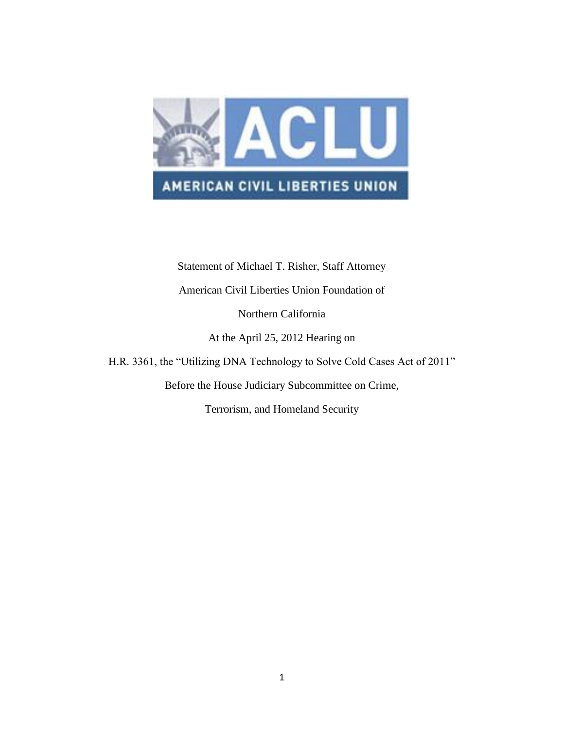

Statement of Michael T. Risher, Staff Attorney American Civil Liberties Union Foundation of Northern California At the April 25, 2012 Hearing on H.R. 3361, the "Utilizing DNA Technology to Solve Cold Cases Act of 2011" Before the House Judiciary Subcommittee on Crime,

Terrorism, and Homeland Security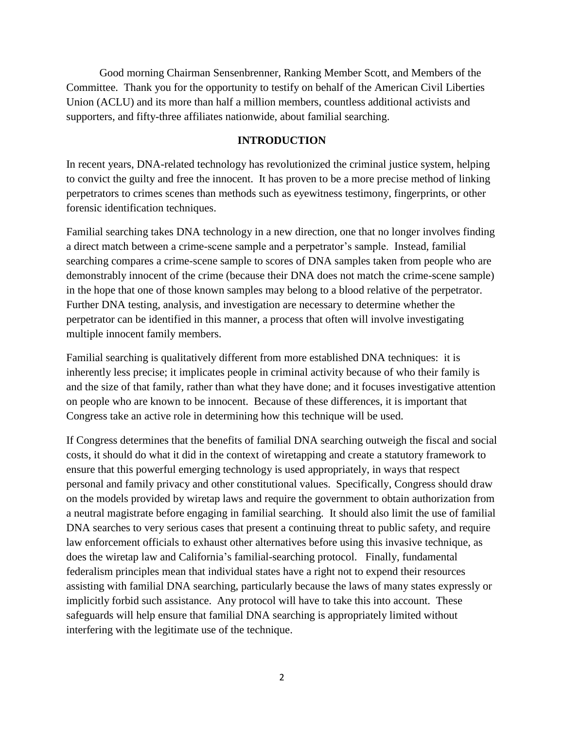Good morning Chairman Sensenbrenner, Ranking Member Scott, and Members of the Committee. Thank you for the opportunity to testify on behalf of the American Civil Liberties Union (ACLU) and its more than half a million members, countless additional activists and supporters, and fifty-three affiliates nationwide, about familial searching.

#### **INTRODUCTION**

In recent years, DNA-related technology has revolutionized the criminal justice system, helping to convict the guilty and free the innocent. It has proven to be a more precise method of linking perpetrators to crimes scenes than methods such as eyewitness testimony, fingerprints, or other forensic identification techniques.

Familial searching takes DNA technology in a new direction, one that no longer involves finding a direct match between a crime-scene sample and a perpetrator's sample. Instead, familial searching compares a crime-scene sample to scores of DNA samples taken from people who are demonstrably innocent of the crime (because their DNA does not match the crime-scene sample) in the hope that one of those known samples may belong to a blood relative of the perpetrator. Further DNA testing, analysis, and investigation are necessary to determine whether the perpetrator can be identified in this manner, a process that often will involve investigating multiple innocent family members.

Familial searching is qualitatively different from more established DNA techniques: it is inherently less precise; it implicates people in criminal activity because of who their family is and the size of that family, rather than what they have done; and it focuses investigative attention on people who are known to be innocent. Because of these differences, it is important that Congress take an active role in determining how this technique will be used.

If Congress determines that the benefits of familial DNA searching outweigh the fiscal and social costs, it should do what it did in the context of wiretapping and create a statutory framework to ensure that this powerful emerging technology is used appropriately, in ways that respect personal and family privacy and other constitutional values. Specifically, Congress should draw on the models provided by wiretap laws and require the government to obtain authorization from a neutral magistrate before engaging in familial searching. It should also limit the use of familial DNA searches to very serious cases that present a continuing threat to public safety, and require law enforcement officials to exhaust other alternatives before using this invasive technique, as does the wiretap law and California's familial-searching protocol. Finally, fundamental federalism principles mean that individual states have a right not to expend their resources assisting with familial DNA searching, particularly because the laws of many states expressly or implicitly forbid such assistance. Any protocol will have to take this into account. These safeguards will help ensure that familial DNA searching is appropriately limited without interfering with the legitimate use of the technique.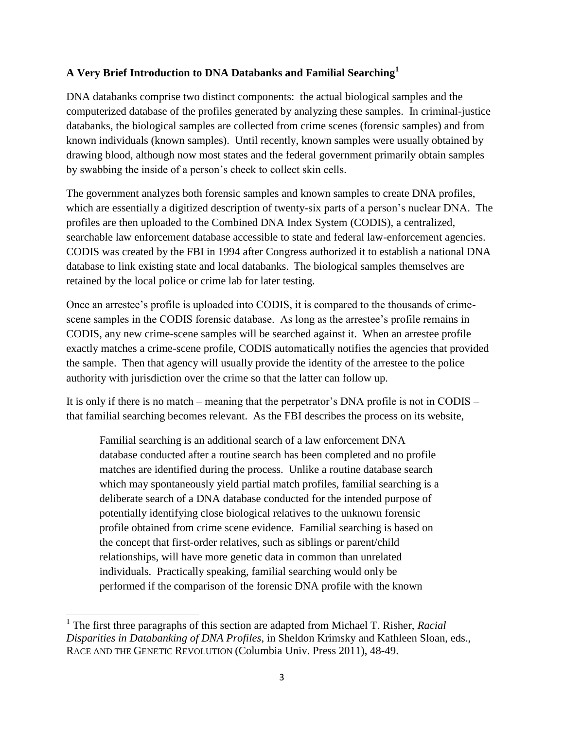## **A Very Brief Introduction to DNA Databanks and Familial Searching<sup>1</sup>**

DNA databanks comprise two distinct components: the actual biological samples and the computerized database of the profiles generated by analyzing these samples. In criminal-justice databanks, the biological samples are collected from crime scenes (forensic samples) and from known individuals (known samples). Until recently, known samples were usually obtained by drawing blood, although now most states and the federal government primarily obtain samples by swabbing the inside of a person's cheek to collect skin cells.

The government analyzes both forensic samples and known samples to create DNA profiles, which are essentially a digitized description of twenty-six parts of a person's nuclear DNA. The profiles are then uploaded to the Combined DNA Index System (CODIS), a centralized, searchable law enforcement database accessible to state and federal law-enforcement agencies. CODIS was created by the FBI in 1994 after Congress authorized it to establish a national DNA database to link existing state and local databanks. The biological samples themselves are retained by the local police or crime lab for later testing.

Once an arrestee's profile is uploaded into CODIS, it is compared to the thousands of crimescene samples in the CODIS forensic database. As long as the arrestee's profile remains in CODIS, any new crime-scene samples will be searched against it. When an arrestee profile exactly matches a crime-scene profile, CODIS automatically notifies the agencies that provided the sample. Then that agency will usually provide the identity of the arrestee to the police authority with jurisdiction over the crime so that the latter can follow up.

It is only if there is no match – meaning that the perpetrator's DNA profile is not in CODIS – that familial searching becomes relevant. As the FBI describes the process on its website,

Familial searching is an additional search of a law enforcement DNA database conducted after a routine search has been completed and no profile matches are identified during the process. Unlike a routine database search which may spontaneously yield partial match profiles, familial searching is a deliberate search of a DNA database conducted for the intended purpose of potentially identifying close biological relatives to the unknown forensic profile obtained from crime scene evidence. Familial searching is based on the concept that first-order relatives, such as siblings or parent/child relationships, will have more genetic data in common than unrelated individuals. Practically speaking, familial searching would only be performed if the comparison of the forensic DNA profile with the known

 $\overline{\phantom{a}}$ 

<sup>&</sup>lt;sup>1</sup> The first three paragraphs of this section are adapted from Michael T. Risher, *Racial Disparities in Databanking of DNA Profiles*, in Sheldon Krimsky and Kathleen Sloan, eds., RACE AND THE GENETIC REVOLUTION (Columbia Univ. Press 2011), 48-49.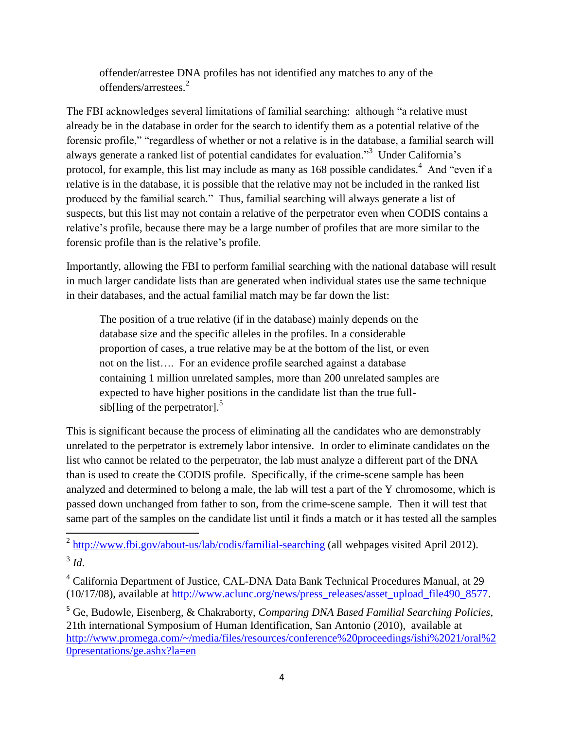<span id="page-3-0"></span>offender/arrestee DNA profiles has not identified any matches to any of the offenders/arrestees.<sup>2</sup>

The FBI acknowledges several limitations of familial searching: although "a relative must already be in the database in order for the search to identify them as a potential relative of the forensic profile," "regardless of whether or not a relative is in the database, a familial search will always generate a ranked list of potential candidates for evaluation."<sup>3</sup> Under California's protocol, for example, this list may include as many as 168 possible candidates.<sup>4</sup> And "even if a relative is in the database, it is possible that the relative may not be included in the ranked list produced by the familial search." Thus, familial searching will always generate a list of suspects, but this list may not contain a relative of the perpetrator even when CODIS contains a relative's profile, because there may be a large number of profiles that are more similar to the forensic profile than is the relative's profile.

Importantly, allowing the FBI to perform familial searching with the national database will result in much larger candidate lists than are generated when individual states use the same technique in their databases, and the actual familial match may be far down the list:

The position of a true relative (if in the database) mainly depends on the database size and the specific alleles in the profiles. In a considerable proportion of cases, a true relative may be at the bottom of the list, or even not on the list…. For an evidence profile searched against a database containing 1 million unrelated samples, more than 200 unrelated samples are expected to have higher positions in the candidate list than the true fullsib[ling of the perpetrator]. $5$ 

This is significant because the process of eliminating all the candidates who are demonstrably unrelated to the perpetrator is extremely labor intensive. In order to eliminate candidates on the list who cannot be related to the perpetrator, the lab must analyze a different part of the DNA than is used to create the CODIS profile. Specifically, if the crime-scene sample has been analyzed and determined to belong a male, the lab will test a part of the Y chromosome, which is passed down unchanged from father to son, from the crime-scene sample. Then it will test that same part of the samples on the candidate list until it finds a match or it has tested all the samples

<sup>2</sup> <http://www.fbi.gov/about-us/lab/codis/familial-searching> (all webpages visited April 2012). 3 *Id*.

<sup>4</sup> California Department of Justice, CAL-DNA Data Bank Technical Procedures Manual, at 29 (10/17/08), available at [http://www.aclunc.org/news/press\\_releases/asset\\_upload\\_file490\\_8577.](http://www.aclunc.org/news/press_releases/asset_upload_file490_8577)

<sup>5</sup> Ge, Budowle, Eisenberg, & Chakraborty, *Comparing DNA Based Familial Searching Policies*, 21th international Symposium of Human Identification, San Antonio (2010), available at [http://www.promega.com/~/media/files/resources/conference%20proceedings/ishi%2021/oral%2](http://www.promega.com/~/media/files/resources/conference%20proceedings/ishi%2021/oral%20presentations/ge.ashx?la=en) [0presentations/ge.ashx?la=en](http://www.promega.com/~/media/files/resources/conference%20proceedings/ishi%2021/oral%20presentations/ge.ashx?la=en)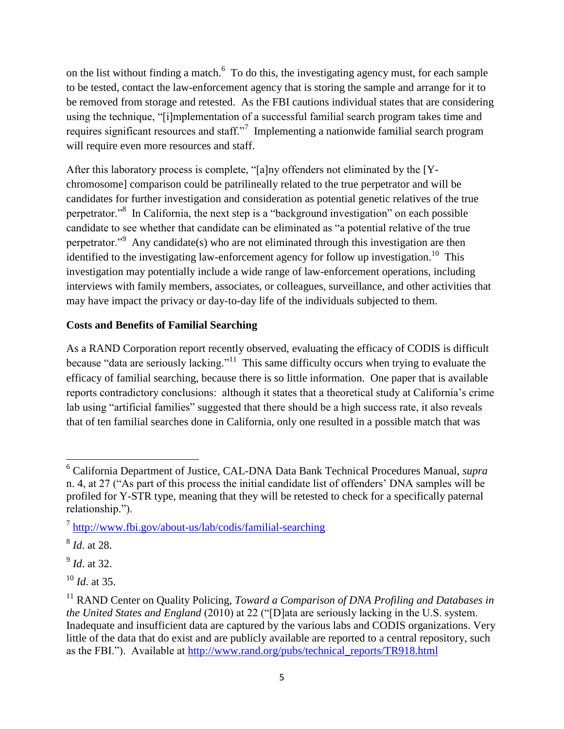on the list without finding a match. $6\text{ To do this, the investigating agency must, for each sample}$ to be tested, contact the law-enforcement agency that is storing the sample and arrange for it to be removed from storage and retested. As the FBI cautions individual states that are considering using the technique, "[i]mplementation of a successful familial search program takes time and requires significant resources and staff."<sup>7</sup> Implementing a nationwide familial search program will require even more resources and staff.

After this laboratory process is complete, "[a]ny offenders not eliminated by the [Ychromosome] comparison could be patrilineally related to the true perpetrator and will be candidates for further investigation and consideration as potential genetic relatives of the true perpetrator.<sup>8</sup> In California, the next step is a "background investigation" on each possible candidate to see whether that candidate can be eliminated as "a potential relative of the true perpetrator."<sup>9</sup> Any candidate(s) who are not eliminated through this investigation are then identified to the investigating law-enforcement agency for follow up investigation.<sup>10</sup> This investigation may potentially include a wide range of law-enforcement operations, including interviews with family members, associates, or colleagues, surveillance, and other activities that may have impact the privacy or day-to-day life of the individuals subjected to them.

### **Costs and Benefits of Familial Searching**

As a RAND Corporation report recently observed, evaluating the efficacy of CODIS is difficult because "data are seriously lacking."<sup>11</sup> This same difficulty occurs when trying to evaluate the efficacy of familial searching, because there is so little information. One paper that is available reports contradictory conclusions: although it states that a theoretical study at California's crime lab using "artificial families" suggested that there should be a high success rate, it also reveals that of ten familial searches done in California, only one resulted in a possible match that was

 $\overline{\phantom{a}}$ <sup>6</sup> California Department of Justice, CAL-DNA Data Bank Technical Procedures Manual, *supra* n. [4,](#page-3-0) at 27 ("As part of this process the initial candidate list of offenders' DNA samples will be profiled for Y-STR type, meaning that they will be retested to check for a specifically paternal relationship.").

<sup>&</sup>lt;sup>7</sup> <http://www.fbi.gov/about-us/lab/codis/familial-searching>

<sup>8</sup> *Id*. at 28.

<sup>9</sup> *Id*. at 32.

<sup>10</sup> *Id*. at 35.

<sup>&</sup>lt;sup>11</sup> RAND Center on Quality Policing, *Toward a Comparison of DNA Profiling and Databases in the United States and England* (2010) at 22 ("[D]ata are seriously lacking in the U.S. system. Inadequate and insufficient data are captured by the various labs and CODIS organizations. Very little of the data that do exist and are publicly available are reported to a central repository, such as the FBI."). Available at [http://www.rand.org/pubs/technical\\_reports/TR918.html](http://www.rand.org/pubs/technical_reports/TR918.html)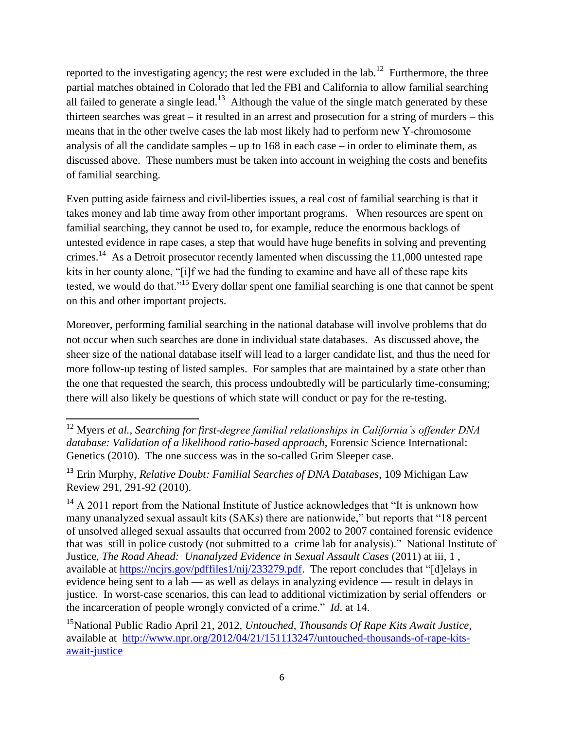reported to the investigating agency; the rest were excluded in the lab.<sup>12</sup> Furthermore, the three partial matches obtained in Colorado that led the FBI and California to allow familial searching all failed to generate a single lead.<sup>13</sup> Although the value of the single match generated by these thirteen searches was great – it resulted in an arrest and prosecution for a string of murders – this means that in the other twelve cases the lab most likely had to perform new Y-chromosome analysis of all the candidate samples – up to 168 in each case – in order to eliminate them, as discussed above. These numbers must be taken into account in weighing the costs and benefits of familial searching.

Even putting aside fairness and civil-liberties issues, a real cost of familial searching is that it takes money and lab time away from other important programs. When resources are spent on familial searching, they cannot be used to, for example, reduce the enormous backlogs of untested evidence in rape cases, a step that would have huge benefits in solving and preventing crimes.<sup>14</sup> As a Detroit prosecutor recently lamented when discussing the 11,000 untested rape kits in her county alone, "[i]f we had the funding to examine and have all of these rape kits tested, we would do that."<sup>15</sup> Every dollar spent one familial searching is one that cannot be spent on this and other important projects.

Moreover, performing familial searching in the national database will involve problems that do not occur when such searches are done in individual state databases. As discussed above, the sheer size of the national database itself will lead to a larger candidate list, and thus the need for more follow-up testing of listed samples. For samples that are maintained by a state other than the one that requested the search, this process undoubtedly will be particularly time-consuming; there will also likely be questions of which state will conduct or pay for the re-testing.

l <sup>12</sup> Myers *et al., Searching for first-degree familial relationships in California's offender DNA database: Validation of a likelihood ratio-based approach*, Forensic Science International: Genetics (2010). The one success was in the so-called Grim Sleeper case.

<sup>13</sup> Erin Murphy, *Relative Doubt: Familial Searches of DNA Databases*, 109 Michigan Law Review 291, 291-92 (2010).

 $14$  A 2011 report from the National Institute of Justice acknowledges that "It is unknown how many unanalyzed sexual assault kits (SAKs) there are nationwide," but reports that "18 percent of unsolved alleged sexual assaults that occurred from 2002 to 2007 contained forensic evidence that was still in police custody (not submitted to a crime lab for analysis)." National Institute of Justice, *The Road Ahead: Unanalyzed Evidence in Sexual Assault Cases* (2011) at iii, 1 , available at [https://ncjrs.gov/pdffiles1/nij/233279.pdf.](https://ncjrs.gov/pdffiles1/nij/233279.pdf) The report concludes that "[d]elays in evidence being sent to a lab — as well as delays in analyzing evidence — result in delays in justice. In worst-case scenarios, this can lead to additional victimization by serial offenders or the incarceration of people wrongly convicted of a crime." *Id*. at 14.

<sup>15</sup>National Public Radio April 21, 2012, *Untouched, Thousands Of Rape Kits Await Justice*, available at [http://www.npr.org/2012/04/21/151113247/untouched-thousands-of-rape-kits](http://www.npr.org/2012/04/21/151113247/untouched-thousands-of-rape-kits-await-justice)[await-justice](http://www.npr.org/2012/04/21/151113247/untouched-thousands-of-rape-kits-await-justice)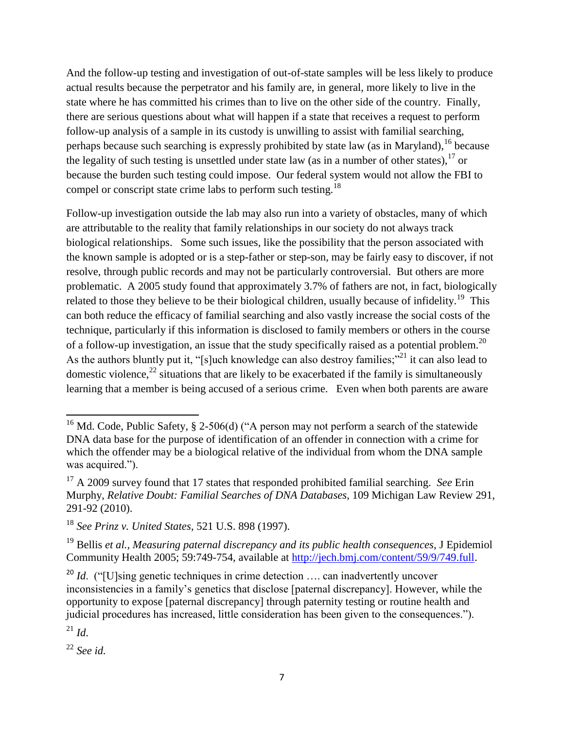And the follow-up testing and investigation of out-of-state samples will be less likely to produce actual results because the perpetrator and his family are, in general, more likely to live in the state where he has committed his crimes than to live on the other side of the country. Finally, there are serious questions about what will happen if a state that receives a request to perform follow-up analysis of a sample in its custody is unwilling to assist with familial searching, perhaps because such searching is expressly prohibited by state law (as in Maryland),  $^{16}$  because the legality of such testing is unsettled under state law (as in a number of other states).<sup>17</sup> or because the burden such testing could impose. Our federal system would not allow the FBI to compel or conscript state crime labs to perform such testing.<sup>18</sup>

<span id="page-6-0"></span>Follow-up investigation outside the lab may also run into a variety of obstacles, many of which are attributable to the reality that family relationships in our society do not always track biological relationships. Some such issues, like the possibility that the person associated with the known sample is adopted or is a step-father or step-son, may be fairly easy to discover, if not resolve, through public records and may not be particularly controversial. But others are more problematic. A 2005 study found that approximately 3.7% of fathers are not, in fact, biologically related to those they believe to be their biological children, usually because of infidelity.<sup>19</sup> This can both reduce the efficacy of familial searching and also vastly increase the social costs of the technique, particularly if this information is disclosed to family members or others in the course of a follow-up investigation, an issue that the study specifically raised as a potential problem.<sup>20</sup> As the authors bluntly put it, "[s]uch knowledge can also destroy families;"<sup>21</sup> it can also lead to domestic violence,  $^{22}$  situations that are likely to be exacerbated if the family is simultaneously learning that a member is being accused of a serious crime. Even when both parents are aware

 $^{21}$  *Id.* 

 $\overline{a}$ <sup>16</sup> Md. Code, Public Safety, § 2-506(d) ("A person may not perform a search of the statewide DNA data base for the purpose of identification of an offender in connection with a crime for which the offender may be a biological relative of the individual from whom the DNA sample was acquired.").

<sup>&</sup>lt;sup>17</sup> A 2009 survey found that 17 states that responded prohibited familial searching. *See* Erin Murphy, *Relative Doubt: Familial Searches of DNA Databases*, 109 Michigan Law Review 291, 291-92 (2010).

<sup>18</sup> *See Prinz v. United States*, 521 U.S. 898 (1997).

<sup>19</sup> Bellis *et al., Measuring paternal discrepancy and its public health consequences*, J Epidemiol Community Health 2005; 59:749-754, available at [http://jech.bmj.com/content/59/9/749.full.](http://jech.bmj.com/content/59/9/749.full)

<sup>&</sup>lt;sup>20</sup> *Id.* ("[U]sing genetic techniques in crime detection .... can inadvertently uncover inconsistencies in a family's genetics that disclose [paternal discrepancy]. However, while the opportunity to expose [paternal discrepancy] through paternity testing or routine health and judicial procedures has increased, little consideration has been given to the consequences.").

<sup>22</sup> *See id.*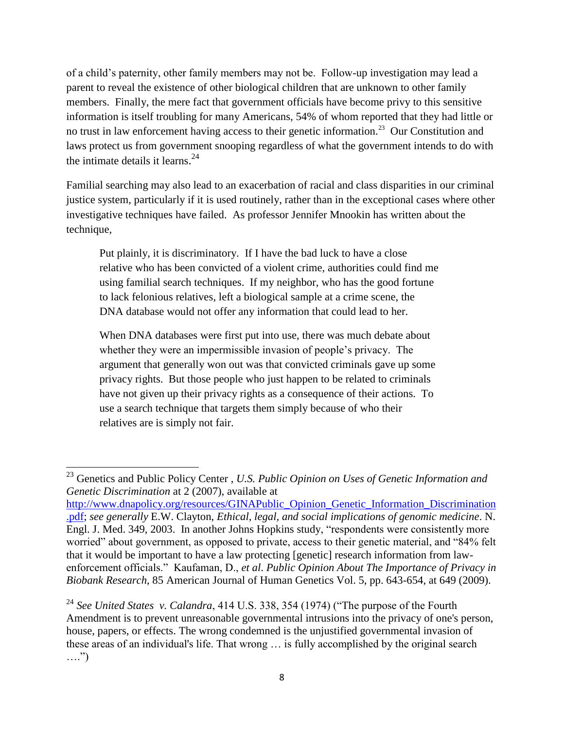of a child's paternity, other family members may not be. Follow-up investigation may lead a parent to reveal the existence of other biological children that are unknown to other family members. Finally, the mere fact that government officials have become privy to this sensitive information is itself troubling for many Americans, 54% of whom reported that they had little or no trust in law enforcement having access to their genetic information.<sup>23</sup> Our Constitution and laws protect us from government snooping regardless of what the government intends to do with the intimate details it learns.<sup>24</sup>

Familial searching may also lead to an exacerbation of racial and class disparities in our criminal justice system, particularly if it is used routinely, rather than in the exceptional cases where other investigative techniques have failed. As professor Jennifer Mnookin has written about the technique,

Put plainly, it is discriminatory. If I have the bad luck to have a close relative who has been convicted of a violent crime, authorities could find me using familial search techniques. If my neighbor, who has the good fortune to lack felonious relatives, left a biological sample at a crime scene, the DNA database would not offer any information that could lead to her.

When DNA databases were first put into use, there was much debate about whether they were an impermissible invasion of people's privacy. The argument that generally won out was that convicted criminals gave up some privacy rights. But those people who just happen to be related to criminals have not given up their privacy rights as a consequence of their actions. To use a search technique that targets them simply because of who their relatives are is simply not fair.

 $\overline{a}$ 

<sup>23</sup> Genetics and Public Policy Center , *U.S. Public Opinion on Uses of Genetic Information and Genetic Discrimination* at 2 (2007), available at

[http://www.dnapolicy.org/resources/GINAPublic\\_Opinion\\_Genetic\\_Information\\_Discrimination](http://www.dnapolicy.org/resources/GINAPublic_Opinion_Genetic_Information_Discrimination.pdf) [.pdf;](http://www.dnapolicy.org/resources/GINAPublic_Opinion_Genetic_Information_Discrimination.pdf) *see generally* E.W. Clayton, *Ethical, legal, and social implications of genomic medicine*. N. Engl. J. Med. 349, 2003. In another Johns Hopkins study, "respondents were consistently more worried" about government, as opposed to private, access to their genetic material, and "84% felt that it would be important to have a law protecting [genetic] research information from lawenforcement officials." Kaufaman, D., *et al*. *Public Opinion About The Importance of Privacy in Biobank Research*, 85 American Journal of Human Genetics Vol. 5, pp. 643-654, at 649 (2009).

<sup>24</sup> *See United States v. Calandra*, 414 U.S. 338, 354 (1974) ("The purpose of the Fourth Amendment is to prevent unreasonable governmental intrusions into the privacy of one's person, house, papers, or effects. The wrong condemned is the unjustified governmental invasion of these areas of an individual's life. That wrong … is fully accomplished by the original search  $\ldots$ ")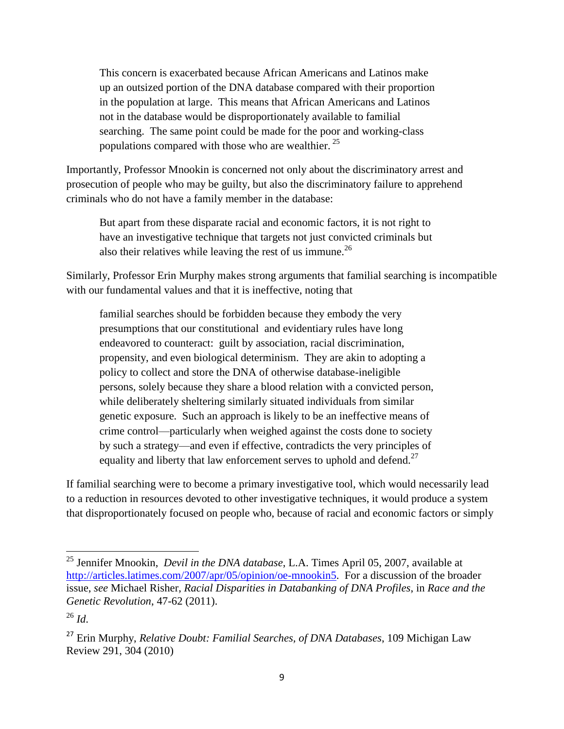<span id="page-8-0"></span>This concern is exacerbated because African Americans and Latinos make up an outsized portion of the DNA database compared with their proportion in the population at large. This means that African Americans and Latinos not in the database would be disproportionately available to familial searching. The same point could be made for the poor and working-class populations compared with those who are wealthier.  $25$ 

Importantly, Professor Mnookin is concerned not only about the discriminatory arrest and prosecution of people who may be guilty, but also the discriminatory failure to apprehend criminals who do not have a family member in the database:

But apart from these disparate racial and economic factors, it is not right to have an investigative technique that targets not just convicted criminals but also their relatives while leaving the rest of us immune.<sup>26</sup>

Similarly, Professor Erin Murphy makes strong arguments that familial searching is incompatible with our fundamental values and that it is ineffective, noting that

familial searches should be forbidden because they embody the very presumptions that our constitutional and evidentiary rules have long endeavored to counteract: guilt by association, racial discrimination, propensity, and even biological determinism. They are akin to adopting a policy to collect and store the DNA of otherwise database-ineligible persons, solely because they share a blood relation with a convicted person, while deliberately sheltering similarly situated individuals from similar genetic exposure. Such an approach is likely to be an ineffective means of crime control—particularly when weighed against the costs done to society by such a strategy—and even if effective, contradicts the very principles of equality and liberty that law enforcement serves to uphold and defend.<sup>27</sup>

If familial searching were to become a primary investigative tool, which would necessarily lead to a reduction in resources devoted to other investigative techniques, it would produce a system that disproportionately focused on people who, because of racial and economic factors or simply

 $\overline{\phantom{a}}$ 

<sup>25</sup> Jennifer Mnookin, *Devil in the DNA database*, L.A. Times April 05, 2007, available at [http://articles.latimes.com/2007/apr/05/opinion/oe-mnookin5.](http://articles.latimes.com/2007/apr/05/opinion/oe-mnookin5) For a discussion of the broader issue, *see* Michael Risher, *Racial Disparities in Databanking of DNA Profiles*, in *Race and the Genetic Revolution*, 47-62 (2011).

<sup>26</sup> *Id*.

<sup>27</sup> Erin Murphy, *Relative Doubt: Familial Searches, of DNA Databases*, 109 Michigan Law Review 291, 304 (2010)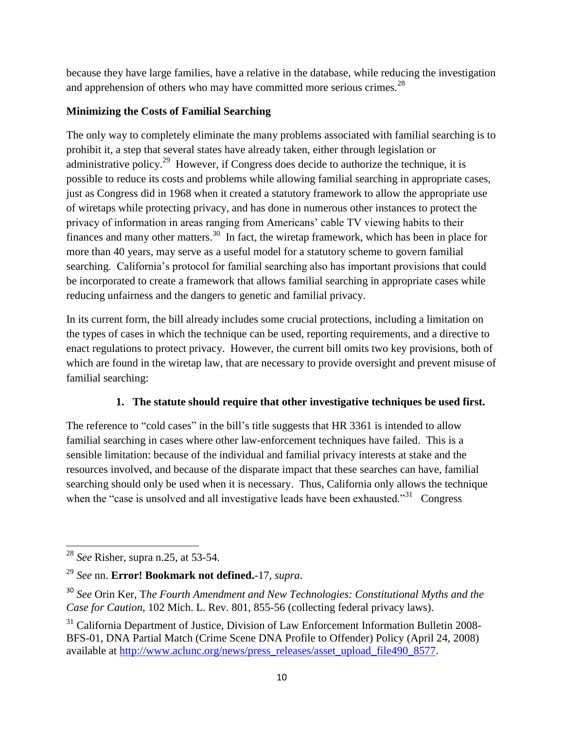because they have large families, have a relative in the database, while reducing the investigation and apprehension of others who may have committed more serious crimes. $^{28}$ 

## **Minimizing the Costs of Familial Searching**

The only way to completely eliminate the many problems associated with familial searching is to prohibit it, a step that several states have already taken, either through legislation or administrative policy.<sup>29</sup> However, if Congress does decide to authorize the technique, it is possible to reduce its costs and problems while allowing familial searching in appropriate cases, just as Congress did in 1968 when it created a statutory framework to allow the appropriate use of wiretaps while protecting privacy, and has done in numerous other instances to protect the privacy of information in areas ranging from Americans' cable TV viewing habits to their finances and many other matters.<sup>30</sup> In fact, the wiretap framework, which has been in place for more than 40 years, may serve as a useful model for a statutory scheme to govern familial searching. California's protocol for familial searching also has important provisions that could be incorporated to create a framework that allows familial searching in appropriate cases while reducing unfairness and the dangers to genetic and familial privacy.

In its current form, the bill already includes some crucial protections, including a limitation on the types of cases in which the technique can be used, reporting requirements, and a directive to enact regulations to protect privacy. However, the current bill omits two key provisions, both of which are found in the wiretap law, that are necessary to provide oversight and prevent misuse of familial searching:

# **1. The statute should require that other investigative techniques be used first.**

The reference to "cold cases" in the bill's title suggests that HR 3361 is intended to allow familial searching in cases where other law-enforcement techniques have failed. This is a sensible limitation: because of the individual and familial privacy interests at stake and the resources involved, and because of the disparate impact that these searches can have, familial searching should only be used when it is necessary. Thus, California only allows the technique when the "case is unsolved and all investigative leads have been exhausted. $31$  Congress

 $\overline{\phantom{a}}$ <sup>28</sup> *See* Risher, supra n[.25,](#page-8-0) at 53-54.

<sup>29</sup> *See* nn. **Error! Bookmark not defined.**[-17,](#page-6-0) *supra*.

<sup>30</sup> *See* Orin Ker, T*he Fourth Amendment and New Technologies: Constitutional Myths and the Case for Caution*, 102 Mich. L. Rev. 801, 855-56 (collecting federal privacy laws).

 $31$  California Department of Justice, Division of Law Enforcement Information Bulletin 2008-BFS-01, DNA Partial Match (Crime Scene DNA Profile to Offender) Policy (April 24, 2008) available at [http://www.aclunc.org/news/press\\_releases/asset\\_upload\\_file490\\_8577.](http://www.aclunc.org/news/press_releases/asset_upload_file490_8577)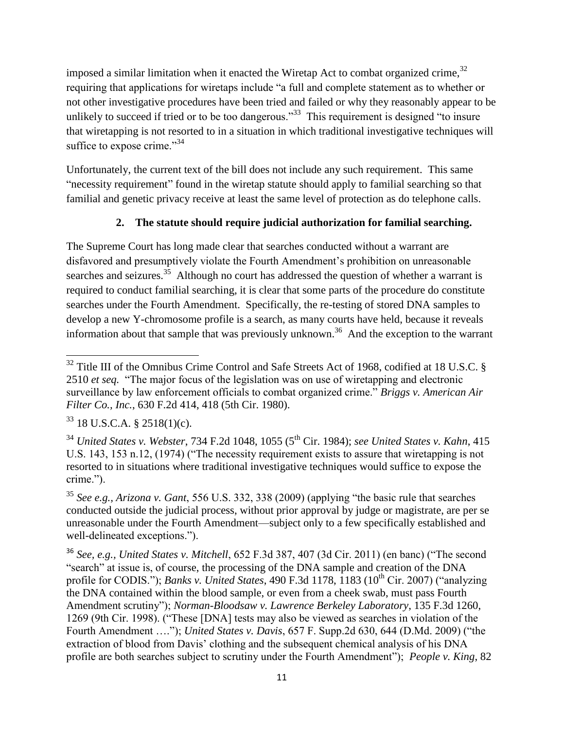imposed a similar limitation when it enacted the Wiretap Act to combat organized crime,  $32$ requiring that applications for wiretaps include "a full and complete statement as to whether or not other investigative procedures have been tried and failed or why they reasonably appear to be unlikely to succeed if tried or to be too dangerous.<sup>33</sup> This requirement is designed "to insure that wiretapping is not resorted to in a situation in which traditional investigative techniques will suffice to expose crime." $34$ 

Unfortunately, the current text of the bill does not include any such requirement. This same "necessity requirement" found in the wiretap statute should apply to familial searching so that familial and genetic privacy receive at least the same level of protection as do telephone calls.

## **2. The statute should require judicial authorization for familial searching.**

The Supreme Court has long made clear that searches conducted without a warrant are disfavored and presumptively violate the Fourth Amendment's prohibition on unreasonable searches and seizures.<sup>35</sup> Although no court has addressed the question of whether a warrant is required to conduct familial searching, it is clear that some parts of the procedure do constitute searches under the Fourth Amendment. Specifically, the re-testing of stored DNA samples to develop a new Y-chromosome profile is a search, as many courts have held, because it reveals information about that sample that was previously unknown.<sup>36</sup> And the exception to the warrant

l  $32$  Title III of the Omnibus Crime Control and Safe Streets Act of 1968, codified at 18 U.S.C. § 2510 *et seq.* "The major focus of the legislation was on use of wiretapping and electronic surveillance by law enforcement officials to combat organized crime." *Briggs v. American Air Filter Co., Inc.*, 630 F.2d 414, 418 (5th Cir. 1980).

 $33$  18 U.S.C.A. § 2518(1)(c).

<sup>&</sup>lt;sup>34</sup> *United States v. Webster*, 734 F.2d 1048, 1055 (5<sup>th</sup> Cir. 1984); *see United States v. Kahn*, 415 U.S. 143, 153 n.12, (1974) ("The necessity requirement exists to assure that wiretapping is not resorted to in situations where traditional investigative techniques would suffice to expose the crime.").

<sup>35</sup> *See e.g., Arizona v. Gant*, 556 U.S. 332, 338 (2009) (applying "the basic rule that searches conducted outside the judicial process, without prior approval by judge or magistrate, are per se unreasonable under the Fourth Amendment—subject only to a few specifically established and well-delineated exceptions.").

<sup>36</sup> *See, e.g., United States v. Mitchell*, 652 F.3d 387, 407 (3d Cir. 2011) (en banc) ("The second "search" at issue is, of course, the processing of the DNA sample and creation of the DNA profile for CODIS."); *Banks v. United States*, 490 F.3d 1178, 1183 (10<sup>th</sup> Cir. 2007) ("analyzing the DNA contained within the blood sample, or even from a cheek swab, must pass Fourth Amendment scrutiny"); *Norman-Bloodsaw v. Lawrence Berkeley Laboratory*, 135 F.3d 1260, 1269 (9th Cir. 1998). ("These [DNA] tests may also be viewed as searches in violation of the Fourth Amendment …."); *United States v. Davis*, 657 F. Supp.2d 630, 644 (D.Md. 2009) ("the extraction of blood from Davis' clothing and the subsequent chemical analysis of his DNA profile are both searches subject to scrutiny under the Fourth Amendment"); *People v. King*, 82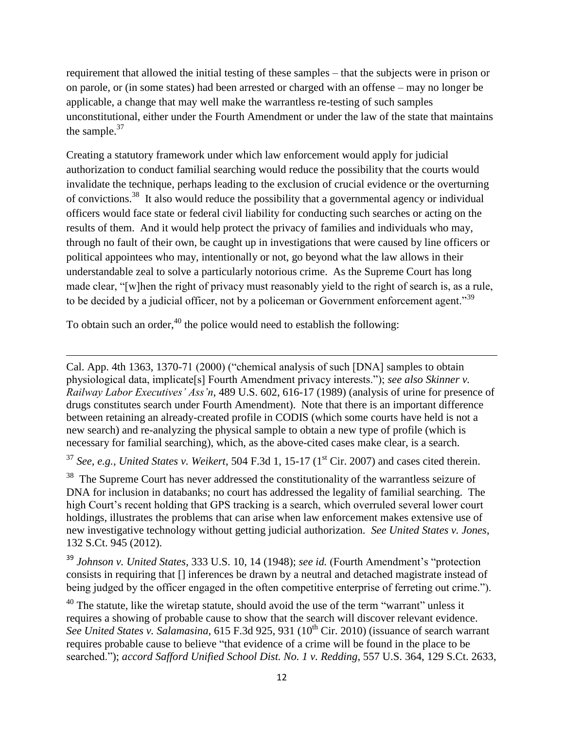requirement that allowed the initial testing of these samples – that the subjects were in prison or on parole, or (in some states) had been arrested or charged with an offense – may no longer be applicable, a change that may well make the warrantless re-testing of such samples unconstitutional, either under the Fourth Amendment or under the law of the state that maintains the sample.<sup>37</sup>

Creating a statutory framework under which law enforcement would apply for judicial authorization to conduct familial searching would reduce the possibility that the courts would invalidate the technique, perhaps leading to the exclusion of crucial evidence or the overturning of convictions.<sup>38</sup> It also would reduce the possibility that a governmental agency or individual officers would face state or federal civil liability for conducting such searches or acting on the results of them. And it would help protect the privacy of families and individuals who may, through no fault of their own, be caught up in investigations that were caused by line officers or political appointees who may, intentionally or not, go beyond what the law allows in their understandable zeal to solve a particularly notorious crime. As the Supreme Court has long made clear, "[w]hen the right of privacy must reasonably yield to the right of search is, as a rule, to be decided by a judicial officer, not by a policeman or Government enforcement agent."<sup>39</sup>

To obtain such an order, $40$  the police would need to establish the following:

l

Cal. App. 4th 1363, 1370-71 (2000) ("chemical analysis of such [DNA] samples to obtain physiological data, implicate[s] Fourth Amendment privacy interests."); *see also Skinner v. Railway Labor Executives' Ass'n*, 489 U.S. 602, 616-17 (1989) (analysis of urine for presence of drugs constitutes search under Fourth Amendment). Note that there is an important difference between retaining an already-created profile in CODIS (which some courts have held is not a new search) and re-analyzing the physical sample to obtain a new type of profile (which is necessary for familial searching), which, as the above-cited cases make clear, is a search.

 $37$  *See, e.g., United States v. Weikert,* 504 F.3d 1, 15-17 ( $1<sup>st</sup>$  Cir. 2007) and cases cited therein.

 $38$  The Supreme Court has never addressed the constitutionality of the warrantless seizure of DNA for inclusion in databanks; no court has addressed the legality of familial searching. The high Court's recent holding that GPS tracking is a search, which overruled several lower court holdings, illustrates the problems that can arise when law enforcement makes extensive use of new investigative technology without getting judicial authorization. *See United States v. Jones*, 132 S.Ct. 945 (2012).

<sup>39</sup> *Johnson v. United States*, 333 U.S. 10, 14 (1948); *see id.* (Fourth Amendment's "protection consists in requiring that [] inferences be drawn by a neutral and detached magistrate instead of being judged by the officer engaged in the often competitive enterprise of ferreting out crime.").

 $40$  The statute, like the wiretap statute, should avoid the use of the term "warrant" unless it requires a showing of probable cause to show that the search will discover relevant evidence. See United States v. Salamasina, 615 F.3d 925, 931 (10<sup>th</sup> Cir. 2010) (issuance of search warrant requires probable cause to believe "that evidence of a crime will be found in the place to be searched."); *accord Safford Unified School Dist. No. 1 v. Redding*, 557 U.S. 364, 129 S.Ct. 2633,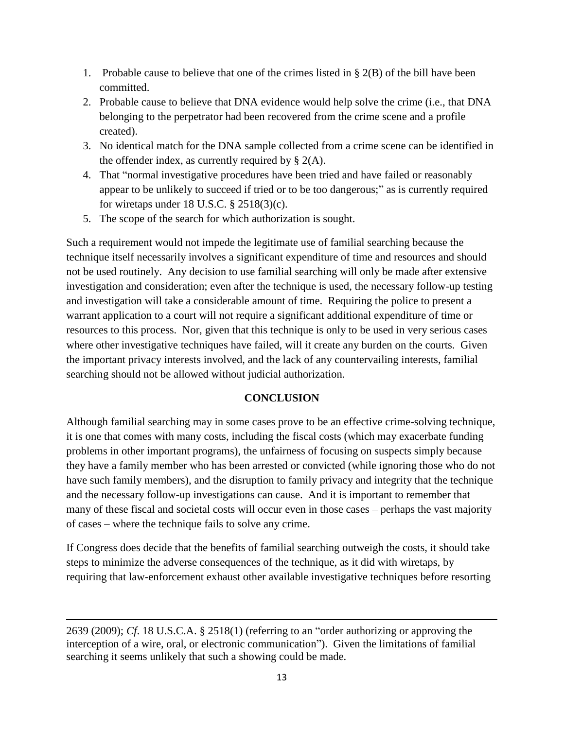- 1. Probable cause to believe that one of the crimes listed in § 2(B) of the bill have been committed.
- 2. Probable cause to believe that DNA evidence would help solve the crime (i.e., that DNA belonging to the perpetrator had been recovered from the crime scene and a profile created).
- 3. No identical match for the DNA sample collected from a crime scene can be identified in the offender index, as currently required by  $\S$  2(A).
- 4. That "normal investigative procedures have been tried and have failed or reasonably appear to be unlikely to succeed if tried or to be too dangerous;" as is currently required for wiretaps under 18 U.S.C.  $\S$  2518(3)(c).
- 5. The scope of the search for which authorization is sought.

Such a requirement would not impede the legitimate use of familial searching because the technique itself necessarily involves a significant expenditure of time and resources and should not be used routinely. Any decision to use familial searching will only be made after extensive investigation and consideration; even after the technique is used, the necessary follow-up testing and investigation will take a considerable amount of time. Requiring the police to present a warrant application to a court will not require a significant additional expenditure of time or resources to this process. Nor, given that this technique is only to be used in very serious cases where other investigative techniques have failed, will it create any burden on the courts. Given the important privacy interests involved, and the lack of any countervailing interests, familial searching should not be allowed without judicial authorization.

### **CONCLUSION**

Although familial searching may in some cases prove to be an effective crime-solving technique, it is one that comes with many costs, including the fiscal costs (which may exacerbate funding problems in other important programs), the unfairness of focusing on suspects simply because they have a family member who has been arrested or convicted (while ignoring those who do not have such family members), and the disruption to family privacy and integrity that the technique and the necessary follow-up investigations can cause. And it is important to remember that many of these fiscal and societal costs will occur even in those cases – perhaps the vast majority of cases – where the technique fails to solve any crime.

If Congress does decide that the benefits of familial searching outweigh the costs, it should take steps to minimize the adverse consequences of the technique, as it did with wiretaps, by requiring that law-enforcement exhaust other available investigative techniques before resorting

 $\overline{\phantom{a}}$ 

<sup>2639 (2009);</sup> *Cf*. 18 U.S.C.A. § 2518(1) (referring to an "order authorizing or approving the interception of a wire, oral, or electronic communication"). Given the limitations of familial searching it seems unlikely that such a showing could be made.